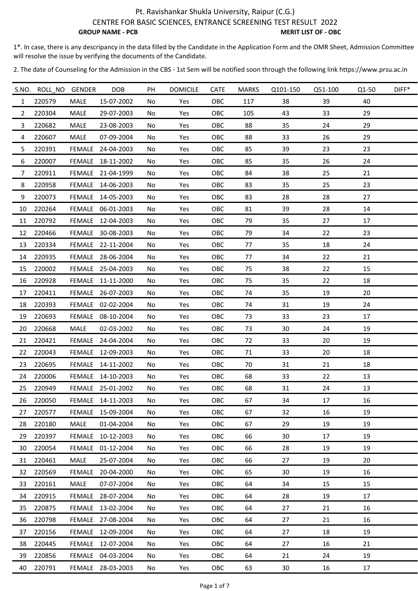1\*. In case, there is any descripancy in the data filled by the Candidate in the Application Form and the OMR Sheet, Admission Committee will resolve the issue by verifying the documents of the Candidate.

|                | S.NO. ROLL NO GENDER |             | DOB               | PH  | <b>DOMICILE</b> | CATE       | <b>MARKS</b> | Q101-150 | Q51-100 | Q1-50 | $DIFF*$ |
|----------------|----------------------|-------------|-------------------|-----|-----------------|------------|--------------|----------|---------|-------|---------|
| $\mathbf{1}$   | 220579               | MALE        | 15-07-2002        | No  | Yes             | <b>OBC</b> | 117          | 38       | 39      | 40    |         |
| 2              | 220304               | MALE        | 29-07-2003        | No  | Yes             | OBC        | 105          | 43       | 33      | 29    |         |
| 3              | 220682               | <b>MALE</b> | 23-08-2003        | No  | Yes             | OBC        | 88           | 35       | 24      | 29    |         |
| 4              | 220607               | <b>MALE</b> | 07-09-2004        | No  | Yes             | OBC        | 88           | 33       | 26      | 29    |         |
| 5              | 220391               |             | FEMALE 24-04-2003 | No  | Yes             | OBC        | 85           | 39       | 23      | 23    |         |
| 6              | 220007               |             | FEMALE 18-11-2002 | No  | Yes             | OBC        | 85           | 35       | 26      | 24    |         |
| $\overline{7}$ | 220911               |             | FEMALE 21-04-1999 | No  | Yes             | OBC        | 84           | 38       | 25      | 21    |         |
| 8              | 220958               |             | FEMALE 14-06-2003 | No  | Yes             | OBC        | 83           | 35       | 25      | 23    |         |
| 9              | 220073               |             | FEMALE 14-05-2003 | No  | Yes             | OBC        | 83           | 28       | 28      | 27    |         |
| 10             | 220264               |             | FEMALE 06-01-2003 | No  | Yes             | OBC        | 81           | 39       | 28      | 14    |         |
| 11             | 220792               |             | FEMALE 12-04-2003 | No  | Yes             | OBC        | 79           | 35       | 27      | 17    |         |
| 12             | 220466               |             | FEMALE 30-08-2003 | No  | Yes             | OBC        | 79           | 34       | 22      | 23    |         |
| 13             | 220334               |             | FEMALE 22-11-2004 | No  | Yes             | OBC        | 77           | 35       | 18      | 24    |         |
| 14             | 220935               |             | FEMALE 28-06-2004 | No  | Yes             | OBC        | 77           | 34       | 22      | 21    |         |
| 15             | 220002               |             | FEMALE 25-04-2003 | No  | Yes             | OBC        | 75           | 38       | 22      | 15    |         |
| 16             | 220928               |             | FEMALE 11-11-2000 | No  | Yes             | OBC        | 75           | 35       | 22      | 18    |         |
| 17             | 220411               |             | FEMALE 26-07-2003 | No  | Yes             | OBC        | 74           | 35       | 19      | 20    |         |
| 18             | 220393               |             | FEMALE 02-02-2004 | No  | Yes             | OBC        | 74           | 31       | 19      | 24    |         |
| 19             | 220693               | FEMALE      | 08-10-2004        | No  | Yes             | OBC        | 73           | 33       | 23      | 17    |         |
| 20             | 220668               | MALE        | 02-03-2002        | No  | Yes             | <b>OBC</b> | 73           | 30       | 24      | 19    |         |
| 21             | 220421               | FEMALE      | 24-04-2004        | No  | Yes             | OBC        | 72           | 33       | 20      | 19    |         |
| 22             | 220043               |             | FEMALE 12-09-2003 | No  | Yes             | OBC        | 71           | 33       | 20      | 18    |         |
| 23             | 220695               |             | FEMALE 14-11-2002 | No  | Yes             | OBC        | 70           | 31       | 21      | 18    |         |
| 24             | 220006               |             | FEMALE 14-10-2003 | No  | Yes             | OBC        | 68           | 33       | 22      | 13    |         |
| 25             | 220949               |             | FEMALE 25-01-2002 | No  | Yes             | OBC        | 68           | 31       | 24      | 13    |         |
| 26             | 220050               | FEMALE      | 14-11-2003        | No. | Yes             | OBC        | 67           | 34       | 17      | 16    |         |
| 27             | 220577               |             | FEMALE 15-09-2004 | No  | Yes             | OBC        | 67           | 32       | 16      | 19    |         |
| 28             | 220180               | MALE        | 01-04-2004        | No  | Yes             | <b>OBC</b> | 67           | 29       | 19      | 19    |         |
| 29             | 220397               |             | FEMALE 10-12-2003 | No  | Yes             | OBC        | 66           | 30       | 17      | 19    |         |
| 30             | 220054               | FEMALE      | 01-12-2004        | No  | Yes             | OBC        | 66           | 28       | 19      | 19    |         |
| 31             | 220461               | <b>MALE</b> | 25-07-2004        | No  | Yes             | OBC        | 66           | 27       | 19      | 20    |         |
| 32             | 220569               | FEMALE      | 20-04-2000        | No. | Yes             | OBC        | 65           | 30       | 19      | 16    |         |
| 33             | 220161               | MALE        | 07-07-2004        | No  | Yes             | <b>OBC</b> | 64           | 34       | 15      | 15    |         |
| 34             | 220915               | FEMALE      | 28-07-2004        | No  | Yes             | OBC        | 64           | 28       | 19      | 17    |         |
| 35             | 220875               |             | FEMALE 13-02-2004 | No  | Yes             | OBC        | 64           | 27       | 21      | 16    |         |
| 36             | 220798               |             | FEMALE 27-08-2004 | No. | Yes             | OBC        | 64           | 27       | 21      | 16    |         |
| 37             | 220156               |             | FEMALE 12-09-2004 | No  | Yes             | OBC        | 64           | 27       | 18      | 19    |         |
| 38             | 220445               |             | FEMALE 12-07-2004 | No. | Yes             | OBC        | 64           | 27       | 16      | 21    |         |
| 39             | 220856               |             | FEMALE 04-03-2004 | No. | Yes             | <b>OBC</b> | 64           | 21       | 24      | 19    |         |
| 40             | 220791               |             | FEMALE 28-03-2003 | No  | Yes             | OBC        | 63           | 30       | 16      | 17    |         |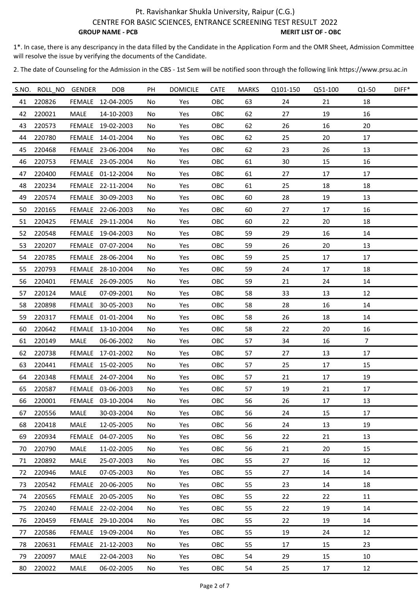1\*. In case, there is any descripancy in the data filled by the Candidate in the Application Form and the OMR Sheet, Admission Committee will resolve the issue by verifying the documents of the Candidate.

|    | S.NO. ROLL_NO GENDER |             | <b>DOB</b>        | PH  | <b>DOMICILE</b> | CATE | <b>MARKS</b> | Q101-150 | Q51-100 | Q1-50          | DIFF* |
|----|----------------------|-------------|-------------------|-----|-----------------|------|--------------|----------|---------|----------------|-------|
| 41 | 220826               |             | FEMALE 12-04-2005 | No  | Yes             | OBC  | 63           | 24       | 21      | 18             |       |
| 42 | 220021               | <b>MALE</b> | 14-10-2003        | No  | Yes             | OBC  | 62           | 27       | 19      | 16             |       |
| 43 | 220573               |             | FEMALE 19-02-2003 | No  | Yes             | OBC  | 62           | 26       | 16      | 20             |       |
| 44 | 220780               |             | FEMALE 14-01-2004 | No  | Yes             | OBC  | 62           | 25       | 20      | 17             |       |
| 45 | 220468               |             | FEMALE 23-06-2004 | No  | Yes             | OBC  | 62           | 23       | 26      | 13             |       |
| 46 | 220753               |             | FEMALE 23-05-2004 | No  | Yes             | OBC  | 61           | 30       | 15      | 16             |       |
| 47 | 220400               |             | FEMALE 01-12-2004 | No  | Yes             | OBC  | 61           | 27       | $17\,$  | 17             |       |
| 48 | 220234               |             | FEMALE 22-11-2004 | No  | Yes             | OBC  | 61           | 25       | 18      | 18             |       |
| 49 | 220574               |             | FEMALE 30-09-2003 | No  | Yes             | OBC  | 60           | 28       | 19      | 13             |       |
| 50 | 220165               |             | FEMALE 22-06-2003 | No  | Yes             | OBC  | 60           | 27       | 17      | 16             |       |
| 51 | 220425               |             | FEMALE 29-11-2004 | No  | Yes             | OBC  | 60           | 22       | 20      | 18             |       |
| 52 | 220548               |             | FEMALE 19-04-2003 | No  | Yes             | OBC  | 59           | 29       | 16      | 14             |       |
| 53 | 220207               |             | FEMALE 07-07-2004 | No  | Yes             | OBC  | 59           | 26       | 20      | 13             |       |
| 54 | 220785               |             | FEMALE 28-06-2004 | No  | Yes             | OBC  | 59           | 25       | 17      | 17             |       |
| 55 | 220793               |             | FEMALE 28-10-2004 | No  | Yes             | OBC  | 59           | 24       | 17      | 18             |       |
| 56 | 220401               |             | FEMALE 26-09-2005 | No  | Yes             | OBC  | 59           | 21       | 24      | 14             |       |
| 57 | 220124               | MALE        | 07-09-2001        | No  | Yes             | OBC  | 58           | 33       | 13      | 12             |       |
| 58 | 220898               |             | FEMALE 30-05-2003 | No  | Yes             | OBC  | 58           | 28       | 16      | 14             |       |
| 59 | 220317               |             | FEMALE 01-01-2004 | No  | Yes             | OBC  | 58           | 26       | 18      | 14             |       |
| 60 | 220642               |             | FEMALE 13-10-2004 | No  | Yes             | OBC  | 58           | 22       | 20      | 16             |       |
| 61 | 220149               | <b>MALE</b> | 06-06-2002        | No  | Yes             | OBC  | 57           | 34       | 16      | $\overline{7}$ |       |
| 62 | 220738               |             | FEMALE 17-01-2002 | No  | Yes             | OBC  | 57           | 27       | 13      | 17             |       |
| 63 | 220441               |             | FEMALE 15-02-2005 | No  | Yes             | OBC  | 57           | 25       | 17      | 15             |       |
| 64 | 220348               |             | FEMALE 24-07-2004 | No  | Yes             | OBC  | 57           | 21       | 17      | 19             |       |
| 65 | 220587               |             | FEMALE 03-06-2003 | No  | Yes             | OBC  | 57           | 19       | 21      | 17             |       |
| 66 | 220001               | FEMALE      | 03-10-2004        | No  | Yes             | OBC  | 56           | 26       | 17      | 13             |       |
| 67 | 220556               | <b>MALE</b> | 30-03-2004        | No  | Yes             | OBC  | 56           | 24       | 15      | 17             |       |
| 68 | 220418               | MALE        | 12-05-2005        | No  | Yes             | OBC  | 56           | 24       | 13      | 19             |       |
| 69 | 220934               | FEMALE      | 04-07-2005        | No  | Yes             | OBC  | 56           | 22       | 21      | 13             |       |
| 70 | 220790               | <b>MALE</b> | 11-02-2005        | No  | Yes             | OBC  | 56           | 21       | 20      | 15             |       |
| 71 | 220892               | MALE        | 25-07-2003        | No  | Yes             | OBC  | 55           | 27       | 16      | 12             |       |
| 72 | 220946               | MALE        | 07-05-2003        | No  | Yes             | OBC  | 55           | 27       | 14      | 14             |       |
| 73 | 220542               | FEMALE      | 20-06-2005        | No  | Yes             | OBC  | 55           | 23       | 14      | 18             |       |
| 74 | 220565               |             | FEMALE 20-05-2005 | No. | Yes             | OBC  | 55           | 22       | 22      | 11             |       |
| 75 | 220240               |             | FEMALE 22-02-2004 | No  | Yes             | OBC  | 55           | 22       | 19      | 14             |       |
| 76 | 220459               |             | FEMALE 29-10-2004 | No  | Yes             | OBC  | 55           | 22       | 19      | 14             |       |
| 77 | 220586               |             | FEMALE 19-09-2004 | No  | Yes             | OBC  | 55           | 19       | 24      | 12             |       |
| 78 | 220631               |             | FEMALE 21-12-2003 | No. | Yes             | OBC  | 55           | 17       | 15      | 23             |       |
| 79 | 220097               | MALE        | 22-04-2003        | No  | Yes             | OBC  | 54           | 29       | 15      | 10             |       |
| 80 | 220022               | MALE        | 06-02-2005        | No  | Yes             | OBC  | 54           | 25       | 17      | 12             |       |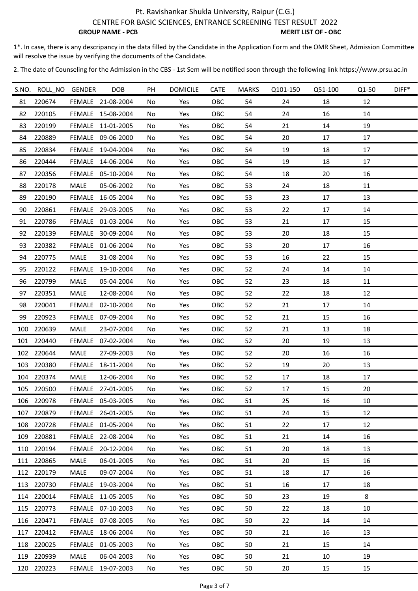1\*. In case, there is any descripancy in the data filled by the Candidate in the Application Form and the OMR Sheet, Admission Committee will resolve the issue by verifying the documents of the Candidate.

|     | S.NO. ROLL NO GENDER |             | <b>DOB</b>        | PH  | <b>DOMICILE</b> | CATE       | <b>MARKS</b> | Q101-150 | Q51-100 | Q1-50  | DIFF* |
|-----|----------------------|-------------|-------------------|-----|-----------------|------------|--------------|----------|---------|--------|-------|
| 81  | 220674               |             | FEMALE 21-08-2004 | No  | Yes             | OBC        | 54           | 24       | 18      | 12     |       |
| 82  | 220105               |             | FEMALE 15-08-2004 | No  | Yes             | OBC        | 54           | 24       | 16      | 14     |       |
| 83  | 220199               |             | FEMALE 11-01-2005 | No  | Yes             | OBC        | 54           | 21       | 14      | 19     |       |
| 84  | 220889               |             | FEMALE 09-06-2000 | No  | Yes             | OBC        | 54           | 20       | 17      | 17     |       |
| 85  | 220834               |             | FEMALE 19-04-2004 | No  | Yes             | OBC        | 54           | 19       | 18      | 17     |       |
| 86  | 220444               |             | FEMALE 14-06-2004 | No  | Yes             | OBC        | 54           | 19       | 18      | 17     |       |
| 87  | 220356               |             | FEMALE 05-10-2004 | No  | Yes             | OBC        | 54           | 18       | 20      | 16     |       |
| 88  | 220178               | MALE        | 05-06-2002        | No  | Yes             | OBC        | 53           | 24       | 18      | 11     |       |
| 89  | 220190               |             | FEMALE 16-05-2004 | No  | Yes             | OBC        | 53           | 23       | 17      | 13     |       |
| 90  | 220861               |             | FEMALE 29-03-2005 | No  | Yes             | OBC        | 53           | 22       | 17      | 14     |       |
| 91  | 220786               |             | FEMALE 01-03-2004 | No  | Yes             | OBC        | 53           | 21       | 17      | 15     |       |
| 92  | 220139               |             | FEMALE 30-09-2004 | No  | Yes             | OBC        | 53           | 20       | 18      | 15     |       |
| 93  | 220382               |             | FEMALE 01-06-2004 | No  | Yes             | OBC        | 53           | 20       | 17      | 16     |       |
| 94  | 220775               | MALE        | 31-08-2004        | No  | Yes             | OBC        | 53           | 16       | 22      | 15     |       |
| 95  | 220122               |             | FEMALE 19-10-2004 | No  | Yes             | OBC        | 52           | 24       | 14      | 14     |       |
| 96  | 220799               | MALE        | 05-04-2004        | No  | Yes             | OBC        | 52           | 23       | 18      | 11     |       |
| 97  | 220351               | MALE        | 12-08-2004        | No  | Yes             | OBC        | 52           | 22       | 18      | 12     |       |
| 98  | 220041               |             | FEMALE 02-10-2004 | No  | Yes             | OBC        | 52           | 21       | 17      | 14     |       |
| 99  | 220923               |             | FEMALE 07-09-2004 | No  | Yes             | OBC        | 52           | 21       | 15      | 16     |       |
| 100 | 220639               | MALE        | 23-07-2004        | No  | Yes             | OBC        | 52           | 21       | 13      | 18     |       |
| 101 | 220440               | FEMALE      | 07-02-2004        | No  | Yes             | OBC        | 52           | 20       | 19      | 13     |       |
|     | 102 220644           | MALE        | 27-09-2003        | No  | Yes             | OBC        | 52           | 20       | 16      | 16     |       |
|     | 103 220380           |             | FEMALE 18-11-2004 | No  | Yes             | OBC        | 52           | 19       | 20      | 13     |       |
|     | 104 220374           | <b>MALE</b> | 12-06-2004        | No  | Yes             | OBC        | 52           | 17       | 18      | 17     |       |
|     | 105 220500           |             | FEMALE 27-01-2005 | No  | Yes             | OBC        | 52           | 17       | 15      | $20\,$ |       |
| 106 | 220978               |             | FEMALE 05-03-2005 | No. | Yes             | OBC        | 51           | 25       | 16      | 10     |       |
| 107 | 220879               |             | FEMALE 26-01-2005 | No  | Yes             | OBC        | 51           | 24       | 15      | 12     |       |
|     | 108 220728           |             | FEMALE 01-05-2004 | No  | Yes             | OBC        | 51           | 22       | 17      | 12     |       |
| 109 | 220881               |             | FEMALE 22-08-2004 | No  | Yes             | <b>OBC</b> | 51           | 21       | 14      | 16     |       |
| 110 | 220194               |             | FEMALE 20-12-2004 | No  | Yes             | OBC        | 51           | 20       | 18      | 13     |       |
|     | 111 220865           | MALE        | 06-01-2005        | No  | Yes             | OBC        | 51           | 20       | 15      | 16     |       |
|     | 112 220179           | MALE        | 09-07-2004        | No  | Yes             | OBC        | 51           | 18       | 17      | 16     |       |
| 113 | 220730               |             | FEMALE 19-03-2004 | No  | Yes             | OBC        | 51           | 16       | 17      | 18     |       |
|     | 114 220014           |             | FEMALE 11-05-2005 | No  | Yes             | <b>OBC</b> | 50           | 23       | 19      | 8      |       |
|     | 115 220773           |             | FEMALE 07-10-2003 | No  | Yes             | OBC        | 50           | 22       | 18      | 10     |       |
|     | 116 220471           |             | FEMALE 07-08-2005 | No  | Yes             | OBC        | 50           | 22       | 14      | 14     |       |
| 117 | 220412               |             | FEMALE 18-06-2004 | No  | Yes             | OBC        | 50           | 21       | 16      | 13     |       |
| 118 | 220025               |             | FEMALE 01-05-2003 | No  | Yes             | OBC        | 50           | 21       | 15      | 14     |       |
|     | 119 220939           | MALE        | 06-04-2003        | No  | Yes             | OBC        | 50           | 21       | 10      | 19     |       |
|     | 120 220223           |             | FEMALE 19-07-2003 | No  | Yes             | OBC        | 50           | 20       | 15      | 15     |       |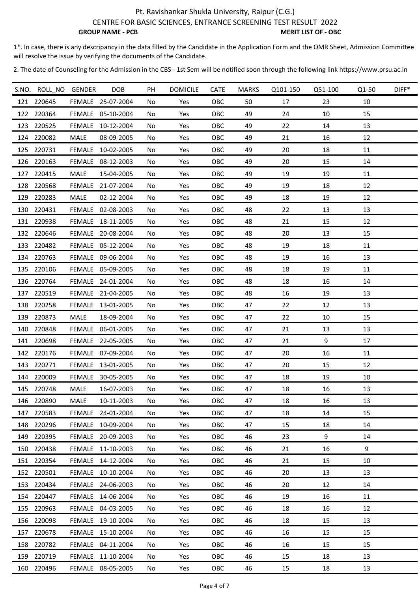1\*. In case, there is any descripancy in the data filled by the Candidate in the Application Form and the OMR Sheet, Admission Committee will resolve the issue by verifying the documents of the Candidate.

|     | S.NO. ROLL_NO GENDER |             | <b>DOB</b>        | PH | <b>DOMICILE</b> | <b>CATE</b> | <b>MARKS</b> | Q101-150 | Q51-100 | Q1-50 | DIFF* |
|-----|----------------------|-------------|-------------------|----|-----------------|-------------|--------------|----------|---------|-------|-------|
| 121 | 220645               |             | FEMALE 25-07-2004 | No | Yes             | OBC         | 50           | 17       | 23      | 10    |       |
| 122 | 220364               |             | FEMALE 05-10-2004 | No | Yes             | OBC         | 49           | 24       | 10      | 15    |       |
| 123 | 220525               | FEMALE      | 10-12-2004        | No | Yes             | OBC         | 49           | 22       | 14      | 13    |       |
|     | 124 220082           | MALE        | 08-09-2005        | No | Yes             | OBC         | 49           | 21       | 16      | 12    |       |
| 125 | 220731               |             | FEMALE 10-02-2005 | No | Yes             | OBC         | 49           | 20       | 18      | 11    |       |
| 126 | 220163               |             | FEMALE 08-12-2003 | No | Yes             | OBC         | 49           | 20       | 15      | 14    |       |
| 127 | 220415               | MALE        | 15-04-2005        | No | Yes             | OBC         | 49           | 19       | 19      | 11    |       |
|     | 128 220568           | FEMALE      | 21-07-2004        | No | Yes             | OBC         | 49           | 19       | 18      | 12    |       |
| 129 | 220283               | MALE        | 02-12-2004        | No | Yes             | OBC         | 49           | 18       | 19      | 12    |       |
|     | 130 220431           |             | FEMALE 02-08-2003 | No | Yes             | OBC         | 48           | 22       | 13      | 13    |       |
|     | 131 220938           |             | FEMALE 18-11-2005 | No | Yes             | OBC         | 48           | 21       | 15      | 12    |       |
| 132 | 220646               |             | FEMALE 20-08-2004 | No | Yes             | OBC         | 48           | 20       | 13      | 15    |       |
| 133 | 220482               |             | FEMALE 05-12-2004 | No | Yes             | OBC         | 48           | 19       | 18      | 11    |       |
|     | 134 220763           |             | FEMALE 09-06-2004 | No | Yes             | OBC         | 48           | 19       | 16      | 13    |       |
|     | 135 220106           |             | FEMALE 05-09-2005 | No | Yes             | OBC         | 48           | 18       | 19      | 11    |       |
|     | 136 220764           |             | FEMALE 24-01-2004 | No | Yes             | OBC         | 48           | 18       | 16      | 14    |       |
| 137 | 220519               |             | FEMALE 21-04-2005 | No | Yes             | OBC         | 48           | 16       | 19      | 13    |       |
|     | 138 220258           |             | FEMALE 13-01-2005 | No | Yes             | OBC         | 47           | 22       | 12      | 13    |       |
| 139 | 220873               | <b>MALE</b> | 18-09-2004        | No | Yes             | OBC         | 47           | 22       | 10      | 15    |       |
| 140 | 220848               | FEMALE      | 06-01-2005        | No | Yes             | OBC         | 47           | 21       | 13      | 13    |       |
| 141 | 220698               |             | FEMALE 22-05-2005 | No | Yes             | OBC         | 47           | 21       | 9       | 17    |       |
|     | 142 220176           |             | FEMALE 07-09-2004 | No | Yes             | OBC         | 47           | 20       | 16      | 11    |       |
|     | 143 220271           |             | FEMALE 13-01-2005 | No | Yes             | OBC         | 47           | 20       | 15      | 12    |       |
|     | 144 220009           |             | FEMALE 30-05-2005 | No | Yes             | OBC         | 47           | 18       | 19      | 10    |       |
|     | 145 220748           | MALE        | 16-07-2003        | No | Yes             | OBC         | 47           | 18       | 16      | 13    |       |
| 146 | 220890               | MALE        | 10-11-2003        | No | Yes             | OBC         | 47           | 18       | 16      | 13    |       |
| 147 | 220583               |             | FEMALE 24-01-2004 | No | Yes             | OBC         | 47           | 18       | 14      | 15    |       |
| 148 | 220296               |             | FEMALE 10-09-2004 | No | Yes             | OBC         | 47           | 15       | 18      | 14    |       |
| 149 | 220395               |             | FEMALE 20-09-2003 | No | Yes             | OBC         | 46           | 23       | 9       | 14    |       |
| 150 | 220438               |             | FEMALE 11-10-2003 | No | Yes             | OBC         | 46           | 21       | 16      | 9     |       |
|     | 151 220354           |             | FEMALE 14-12-2004 | No | Yes             | OBC         | 46           | 21       | 15      | 10    |       |
| 152 | 220501               |             | FEMALE 10-10-2004 | No | Yes             | OBC         | 46           | 20       | 13      | 13    |       |
| 153 | 220434               |             | FEMALE 24-06-2003 | No | Yes             | OBC         | 46           | 20       | 12      | 14    |       |
|     | 154 220447           |             | FEMALE 14-06-2004 | No | Yes             | <b>OBC</b>  | 46           | 19       | 16      | 11    |       |
| 155 | 220963               |             | FEMALE 04-03-2005 | No | Yes             | OBC         | 46           | 18       | 16      | 12    |       |
|     | 156 220098           |             | FEMALE 19-10-2004 | No | Yes             | OBC         | 46           | 18       | 15      | 13    |       |
| 157 | 220678               |             | FEMALE 15-10-2004 | No | Yes             | OBC         | 46           | 16       | 15      | 15    |       |
| 158 | 220782               |             | FEMALE 04-11-2004 | No | Yes             | OBC         | 46           | 16       | 15      | 15    |       |
| 159 | 220719               |             | FEMALE 11-10-2004 | No | Yes             | OBC         | 46           | 15       | 18      | 13    |       |
|     | 160 220496           |             | FEMALE 08-05-2005 | No | Yes             | OBC         | 46           | 15       | 18      | 13    |       |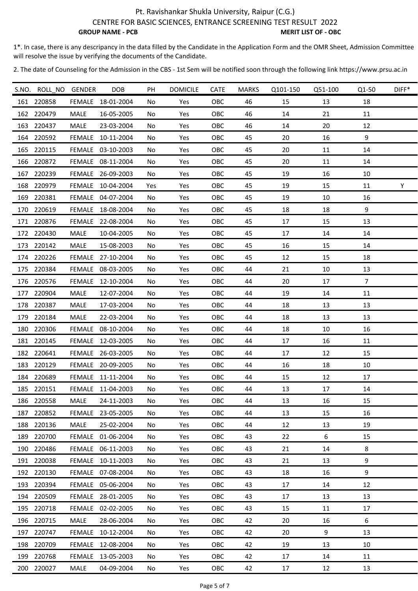1\*. In case, there is any descripancy in the data filled by the Candidate in the Application Form and the OMR Sheet, Admission Committee will resolve the issue by verifying the documents of the Candidate.

|     | S.NO. ROLL_NO GENDER |             | <b>DOB</b>        | PH  | <b>DOMICILE</b> | CATE       | <b>MARKS</b> | Q101-150 | Q51-100 | Q1-50          | DIFF* |
|-----|----------------------|-------------|-------------------|-----|-----------------|------------|--------------|----------|---------|----------------|-------|
| 161 | 220858               | FEMALE      | 18-01-2004        | No  | Yes             | OBC        | 46           | 15       | 13      | 18             |       |
| 162 | 220479               | <b>MALE</b> | 16-05-2005        | No  | Yes             | OBC        | 46           | 14       | 21      | 11             |       |
| 163 | 220437               | MALE        | 23-03-2004        | No  | Yes             | OBC        | 46           | 14       | 20      | 12             |       |
|     | 164 220592           | FEMALE      | 10-11-2004        | No  | Yes             | OBC        | 45           | 20       | 16      | 9              |       |
|     | 165 220115           |             | FEMALE 03-10-2003 | No  | Yes             | OBC        | 45           | 20       | 11      | 14             |       |
|     | 166 220872           |             | FEMALE 08-11-2004 | No  | Yes             | OBC        | 45           | 20       | 11      | 14             |       |
| 167 | 220239               |             | FEMALE 26-09-2003 | No  | Yes             | OBC        | 45           | 19       | 16      | 10             |       |
| 168 | 220979               | FEMALE      | 10-04-2004        | Yes | Yes             | OBC        | 45           | 19       | 15      | 11             | Y     |
|     | 169 220381           |             | FEMALE 04-07-2004 | No  | Yes             | OBC        | 45           | 19       | 10      | 16             |       |
| 170 | 220619               | FEMALE      | 18-08-2004        | No  | Yes             | OBC        | 45           | 18       | 18      | 9              |       |
|     | 171 220876           |             | FEMALE 22-08-2004 | No  | Yes             | OBC        | 45           | 17       | 15      | 13             |       |
| 172 | 220430               | MALE        | 10-04-2005        | No  | Yes             | OBC        | 45           | 17       | 14      | 14             |       |
| 173 | 220142               | <b>MALE</b> | 15-08-2003        | No  | Yes             | OBC        | 45           | 16       | 15      | 14             |       |
|     | 174 220226           |             | FEMALE 27-10-2004 | No  | Yes             | OBC        | 45           | 12       | 15      | 18             |       |
| 175 | 220384               | FEMALE      | 08-03-2005        | No  | Yes             | OBC        | 44           | 21       | 10      | 13             |       |
|     | 176 220576           |             | FEMALE 12-10-2004 | No  | Yes             | OBC        | 44           | 20       | 17      | $\overline{7}$ |       |
| 177 | 220904               | <b>MALE</b> | 12-07-2004        | No  | Yes             | OBC        | 44           | 19       | 14      | 11             |       |
|     | 178 220387           | MALE        | 17-03-2004        | No  | Yes             | OBC        | 44           | 18       | 13      | 13             |       |
| 179 | 220184               | MALE        | 22-03-2004        | No  | Yes             | OBC        | 44           | 18       | 13      | 13             |       |
| 180 | 220306               | FEMALE      | 08-10-2004        | No  | Yes             | OBC        | 44           | 18       | 10      | 16             |       |
| 181 | 220145               |             | FEMALE 12-03-2005 | No  | Yes             | OBC        | 44           | 17       | 16      | 11             |       |
|     | 182 220641           |             | FEMALE 26-03-2005 | No  | Yes             | OBC        | 44           | 17       | 12      | 15             |       |
|     | 183 220129           |             | FEMALE 20-09-2005 | No  | Yes             | OBC        | 44           | 16       | 18      | 10             |       |
|     | 184 220689           |             | FEMALE 11-11-2004 | No  | Yes             | OBC        | 44           | 15       | 12      | 17             |       |
|     | 185 220151           |             | FEMALE 11-04-2003 | No  | Yes             | OBC        | 44           | 13       | 17      | 14             |       |
| 186 | 220558               | MALE        | 24-11-2003        | No  | Yes             | OBC        | 44           | 13       | 16      | 15             |       |
| 187 | 220852               | FEMALE      | 23-05-2005        | No  | Yes             | OBC        | 44           | 13       | 15      | 16             |       |
| 188 | 220136               | MALE        | 25-02-2004        | No  | Yes             | OBC        | 44           | 12       | 13      | 19             |       |
| 189 | 220700               | FEMALE      | 01-06-2004        | No  | Yes             | OBC        | 43           | 22       | 6       | 15             |       |
| 190 | 220486               | FEMALE      | 06-11-2003        | No. | Yes             | OBC        | 43           | 21       | 14      | 8              |       |
|     | 191 220038           |             | FEMALE 10-11-2003 | No. | Yes             | OBC        | 43           | 21       | 13      | 9              |       |
| 192 | 220130               |             | FEMALE 07-08-2004 | No  | Yes             | OBC        | 43           | 18       | 16      | 9              |       |
| 193 | 220394               | FEMALE      | 05-06-2004        | No. | Yes             | OBC        | 43           | 17       | 14      | 12             |       |
| 194 | 220509               |             | FEMALE 28-01-2005 | No  | Yes             | <b>OBC</b> | 43           | 17       | 13      | 13             |       |
| 195 | 220718               | FEMALE      | 02-02-2005        | No  | Yes             | OBC        | 43           | 15       | 11      | 17             |       |
|     | 196 220715           | MALE        | 28-06-2004        | No  | Yes             | OBC        | 42           | 20       | 16      | 6              |       |
| 197 | 220747               |             | FEMALE 10-12-2004 | No  | Yes             | OBC        | 42           | 20       | 9       | 13             |       |
| 198 | 220709               | FEMALE      | 12-08-2004        | No  | Yes             | OBC        | 42           | 19       | 13      | 10             |       |
| 199 | 220768               |             | FEMALE 13-05-2003 | No  | Yes             | OBC        | 42           | 17       | 14      | 11             |       |
|     | 200 220027           | MALE        | 04-09-2004        | No  | Yes             | OBC        | 42           | 17       | 12      | 13             |       |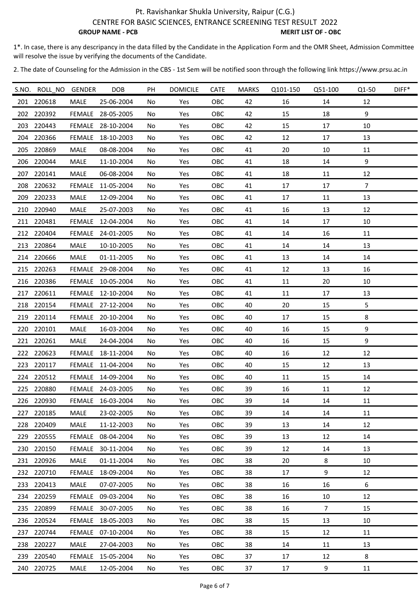1\*. In case, there is any descripancy in the data filled by the Candidate in the Application Form and the OMR Sheet, Admission Committee will resolve the issue by verifying the documents of the Candidate.

|     | S.NO. ROLL NO GENDER |               | <b>DOB</b>        | PH  | <b>DOMICILE</b> | <b>CATE</b> | <b>MARKS</b> | Q101-150 | Q51-100        | Q1-50          | DIFF* |
|-----|----------------------|---------------|-------------------|-----|-----------------|-------------|--------------|----------|----------------|----------------|-------|
| 201 | 220618               | MALE          | 25-06-2004        | No  | Yes             | OBC         | 42           | 16       | 14             | 12             |       |
| 202 | 220392               | FEMALE        | 28-05-2005        | No  | Yes             | OBC         | 42           | 15       | 18             | 9              |       |
| 203 | 220443               | FEMALE        | 28-10-2004        | No  | Yes             | OBC         | 42           | 15       | 17             | 10             |       |
|     | 204 220366           | FEMALE        | 18-10-2003        | No  | Yes             | OBC         | 42           | 12       | 17             | 13             |       |
|     | 205 220869           | MALE          | 08-08-2004        | No  | Yes             | OBC         | 41           | 20       | 10             | 11             |       |
|     | 206 220044           | <b>MALE</b>   | 11-10-2004        | No  | Yes             | OBC         | 41           | 18       | 14             | 9              |       |
|     | 207 220141           | MALE          | 06-08-2004        | No  | Yes             | OBC         | 41           | 18       | 11             | 12             |       |
|     | 208 220632           | <b>FEMALE</b> | 11-05-2004        | No  | Yes             | OBC         | 41           | 17       | 17             | $\overline{7}$ |       |
|     | 209 220233           | MALE          | 12-09-2004        | No  | Yes             | OBC         | 41           | 17       | 11             | 13             |       |
| 210 | 220940               | MALE          | 25-07-2003        | No  | Yes             | OBC         | 41           | 16       | 13             | 12             |       |
|     | 211 220481           | FEMALE        | 12-04-2004        | No  | Yes             | OBC         | 41           | 14       | 17             | 10             |       |
| 212 | 220404               | FEMALE        | 24-01-2005        | No  | Yes             | OBC         | 41           | 14       | 16             | 11             |       |
| 213 | 220864               | MALE          | 10-10-2005        | No  | Yes             | OBC         | 41           | 14       | 14             | 13             |       |
| 214 | 220666               | MALE          | 01-11-2005        | No  | Yes             | OBC         | 41           | 13       | 14             | 14             |       |
| 215 | 220263               | FEMALE        | 29-08-2004        | No  | Yes             | OBC         | 41           | 12       | 13             | 16             |       |
|     | 216 220386           | FEMALE        | 10-05-2004        | No  | Yes             | OBC         | 41           | 11       | 20             | 10             |       |
|     | 217 220611           |               | FEMALE 12-10-2004 | No  | Yes             | OBC         | 41           | 11       | 17             | 13             |       |
|     | 218 220154           |               | FEMALE 27-12-2004 | No  | Yes             | OBC         | 40           | 20       | 15             | 5              |       |
| 219 | 220114               | FEMALE        | 20-10-2004        | No  | Yes             | OBC         | 40           | 17       | 15             | 8              |       |
|     | 220 220101           | MALE          | 16-03-2004        | No  | Yes             | OBC         | 40           | 16       | 15             | 9              |       |
| 221 | 220261               | <b>MALE</b>   | 24-04-2004        | No. | Yes             | OBC         | 40           | 16       | 15             | 9              |       |
|     | 222 220623           | FEMALE        | 18-11-2004        | No  | Yes             | OBC         | 40           | 16       | 12             | 12             |       |
|     | 223 220117           |               | FEMALE 11-04-2004 | No  | Yes             | OBC         | 40           | 15       | 12             | 13             |       |
|     | 224 220512           |               | FEMALE 14-09-2004 | No  | Yes             | OBC         | 40           | 11       | 15             | 14             |       |
|     | 225 220880           |               | FEMALE 24-03-2005 | No  | Yes             | OBC         | 39           | 16       | 11             | 12             |       |
| 226 | 220930               | FEMALE        | 16-03-2004        | No  | Yes             | OBC         | 39           | 14       | 14             | 11             |       |
| 227 | 220185               | <b>MALE</b>   | 23-02-2005        | No  | Yes             | OBC         | 39           | 14       | 14             | 11             |       |
|     | 228 220409           | MALE          | 11-12-2003        | No  | Yes             | OBC         | 39           | 13       | 14             | 12             |       |
| 229 | 220555               | FEMALE        | 08-04-2004        | No. | Yes             | OBC         | 39           | 13       | 12             | 14             |       |
|     | 230 220150           | FEMALE        | 30-11-2004        | No  | Yes             | OBC         | 39           | 12       | 14             | 13             |       |
|     | 231 220926           | MALE          | 01-11-2004        | No  | Yes             | OBC         | 38           | 20       | 8              | 10             |       |
|     | 232 220710           | FEMALE        | 18-09-2004        | No  | Yes             | OBC         | 38           | 17       | 9              | 12             |       |
|     | 233 220413           | MALE          | 07-07-2005        | No. | Yes             | OBC         | 38           | 16       | 16             | 6              |       |
|     | 234 220259           | FEMALE        | 09-03-2004        | No  | Yes             | OBC         | 38           | 16       | 10             | 12             |       |
| 235 | 220899               | FEMALE        | 30-07-2005        | No  | Yes             | OBC         | 38           | 16       | $\overline{7}$ | 15             |       |
|     | 236 220524           | FEMALE        | 18-05-2003        | No  | Yes             | OBC         | 38           | 15       | 13             | 10             |       |
| 237 | 220744               | FEMALE        | 07-10-2004        | No  | Yes             | OBC         | 38           | 15       | 12             | 11             |       |
| 238 | 220227               | MALE          | 27-04-2003        | No  | Yes             | OBC         | 38           | 14       | 11             | 13             |       |
|     | 239 220540           | FEMALE        | 15-05-2004        | No  | Yes             | OBC         | 37           | 17       | 12             | 8              |       |
|     | 240 220725           | MALE          | 12-05-2004        | No  | Yes             | OBC         | 37           | 17       | 9              | 11             |       |